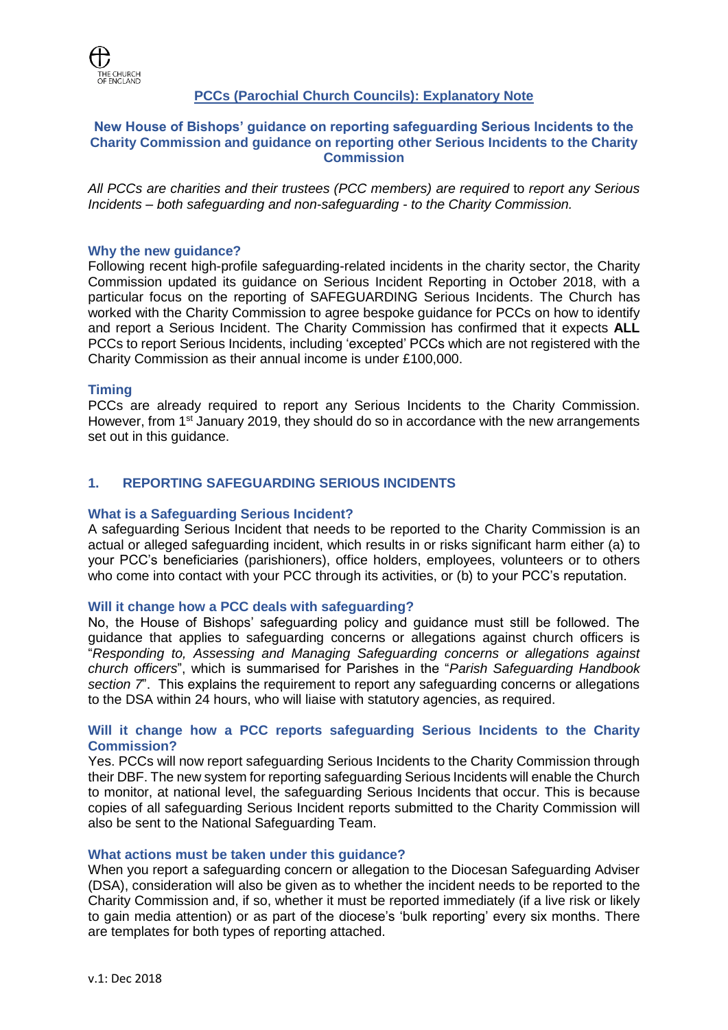

# **PCCs (Parochial Church Councils): Explanatory Note**

### **New House of Bishops' guidance on reporting safeguarding Serious Incidents to the Charity Commission and guidance on reporting other Serious Incidents to the Charity Commission**

*All PCCs are charities and their trustees (PCC members) are required* to *report any Serious Incidents – both safeguarding and non-safeguarding - to the Charity Commission.*

### **Why the new guidance?**

Following recent high-profile safeguarding-related incidents in the charity sector, the Charity Commission updated its guidance on Serious Incident Reporting in October 2018, with a particular focus on the reporting of SAFEGUARDING Serious Incidents. The Church has worked with the Charity Commission to agree bespoke guidance for PCCs on how to identify and report a Serious Incident. The Charity Commission has confirmed that it expects **ALL** PCCs to report Serious Incidents, including 'excepted' PCCs which are not registered with the Charity Commission as their annual income is under £100,000.

### **Timing**

PCCs are already required to report any Serious Incidents to the Charity Commission. However, from 1<sup>st</sup> January 2019, they should do so in accordance with the new arrangements set out in this guidance.

# **1. REPORTING SAFEGUARDING SERIOUS INCIDENTS**

### **What is a Safeguarding Serious Incident?**

A safeguarding Serious Incident that needs to be reported to the Charity Commission is an actual or alleged safeguarding incident, which results in or risks significant harm either (a) to your PCC's beneficiaries (parishioners), office holders, employees, volunteers or to others who come into contact with your PCC through its activities, or (b) to your PCC's reputation.

### **Will it change how a PCC deals with safeguarding?**

No, the House of Bishops' safeguarding policy and guidance must still be followed. The guidance that applies to safeguarding concerns or allegations against church officers is "*Responding to, Assessing and Managing Safeguarding concerns or allegations against church officers*", which is summarised for Parishes in the "*Parish Safeguarding Handbook section 7*". This explains the requirement to report any safeguarding concerns or allegations to the DSA within 24 hours, who will liaise with statutory agencies, as required.

### **Will it change how a PCC reports safeguarding Serious Incidents to the Charity Commission?**

Yes. PCCs will now report safeguarding Serious Incidents to the Charity Commission through their DBF. The new system for reporting safeguarding Serious Incidents will enable the Church to monitor, at national level, the safeguarding Serious Incidents that occur. This is because copies of all safeguarding Serious Incident reports submitted to the Charity Commission will also be sent to the National Safeguarding Team.

### **What actions must be taken under this guidance?**

When you report a safeguarding concern or allegation to the Diocesan Safeguarding Adviser (DSA), consideration will also be given as to whether the incident needs to be reported to the Charity Commission and, if so, whether it must be reported immediately (if a live risk or likely to gain media attention) or as part of the diocese's 'bulk reporting' every six months. There are templates for both types of reporting attached.